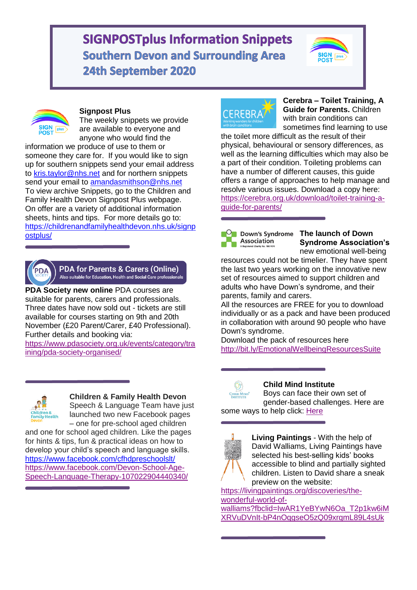# **SIGNPOSTplus Information Snippets Southern Devon and Surrounding Area** 24th September 2020





#### **Signpost Plus**

The weekly snippets we provide are available to everyone and anyone who would find the

information we produce of use to them or someone they care for. If you would like to sign up for southern snippets send your email address to [kris.taylor@nhs.net](mailto:kris.taylor@nhs.net) and for northern snippets send your email to amandasmithson@nhs.net To view archive Snippets, go to the Children and Family Health Devon Signpost Plus webpage. On offer are a variety of additional information sheets, hints and tips. For more details go to: [https://childrenandfamilyhealthdevon.nhs.uk/signp](https://childrenandfamilyhealthdevon.nhs.uk/signpostplus/) [ostplus/](https://childrenandfamilyhealthdevon.nhs.uk/signpostplus/)



#### **PDA for Parents & Carers (Online)** Also suitable for Education, Health and Social Care professionals

**PDA Society new online** PDA courses are suitable for parents, carers and professionals. Three dates have now sold out - tickets are still available for courses starting on 9th and 20th November (£20 Parent/Carer, £40 Professional). Further details and booking via:

[https://www.pdasociety.org.uk/events/category/tra](https://www.pdasociety.org.uk/events/category/training/pda-society-organised/) [ining/pda-society-organised/](https://www.pdasociety.org.uk/events/category/training/pda-society-organised/)



# **Children & Family Health Devon**

Speech & Language Team have just launched two new Facebook pages – one for pre-school aged children

and one for school aged children. Like the pages for hints & tips, fun & practical ideas on how to develop your child's speech and language skills. [https://www.facebook.com/cfhdpreschoolslt/](https://www.facebook.com/cfhdpreschoolslt/?__tn__=K-R&eid=ARCEKcDBXuiJbwGEajVaHam8tZs_qB2g2DaZua7dFoI49VzAtyLpN0M12_S6OivLsJup5cA6oJXyX6I3&fref=mentions&__xts__%5B0%5D=68.ARAbrWS-ShoKWv9HGJPglX0lJhV6qOhuHb1X7fs3OsUrTIKd3DeJNorxe8I4n3gC5V6NlakujGuqEegoAh7UtN9GD1UQAHyos6g6lOUZ4Ludi05vutkS-c4CFr8ufpXX0h4FU8wQh9sK7X2tDR2qb9-CPSOs_gpZQbic7NL9RzgChD8ZpBIYkXLrCzARNwUibYcugpLhvXFmEejTYf0GsAjTEhdnxdtIaAtxrQDrQqoU3gOAf8fboEWKq20HyFUAdfixtCEg_DtUwylS4kOLxi7R0QxZpYEJtDwtioMrtaaaoevSrXsMdyXxNEvy2zd-P3rznv3m8sxL2u64ZS9z3G4-jA8KjZqzS2XJ6BP3RKfLlDOEgMiCqcO6) [https://www.facebook.com/Devon-School-Age-](https://www.facebook.com/Devon-School-Age-Speech-Language-Therapy-107022904440340/?__tn__=K-R&eid=ARBlUyUjYJQN-SJhnJRnZE2yphzYtEW0zalAt2aVj1RTm5qW9521Jl80ZZyT0ezlOKHQLdyG0rRS6eFf&fref=mentions&__xts__%5B0%5D=68.ARAbrWS-ShoKWv9HGJPglX0lJhV6qOhuHb1X7fs3OsUrTIKd3DeJNorxe8I4n3gC5V6NlakujGuqEegoAh7UtN9GD1UQAHyos6g6lOUZ4Ludi05vutkS-c4CFr8ufpXX0h4FU8wQh9sK7X2tDR2qb9-CPSOs_gpZQbic7NL9RzgChD8ZpBIYkXLrCzARNwUibYcugpLhvXFmEejTYf0GsAjTEhdnxdtIaAtxrQDrQqoU3gOAf8fboEWKq20HyFUAdfixtCEg_DtUwylS4kOLxi7R0QxZpYEJtDwtioMrtaaaoevSrXsMdyXxNEvy2zd-P3rznv3m8sxL2u64ZS9z3G4-jA8KjZqzS2XJ6BP3RKfLlDOEgMiCqcO6)[Speech-Language-Therapy-107022904440340/](https://www.facebook.com/Devon-School-Age-Speech-Language-Therapy-107022904440340/?__tn__=K-R&eid=ARBlUyUjYJQN-SJhnJRnZE2yphzYtEW0zalAt2aVj1RTm5qW9521Jl80ZZyT0ezlOKHQLdyG0rRS6eFf&fref=mentions&__xts__%5B0%5D=68.ARAbrWS-ShoKWv9HGJPglX0lJhV6qOhuHb1X7fs3OsUrTIKd3DeJNorxe8I4n3gC5V6NlakujGuqEegoAh7UtN9GD1UQAHyos6g6lOUZ4Ludi05vutkS-c4CFr8ufpXX0h4FU8wQh9sK7X2tDR2qb9-CPSOs_gpZQbic7NL9RzgChD8ZpBIYkXLrCzARNwUibYcugpLhvXFmEejTYf0GsAjTEhdnxdtIaAtxrQDrQqoU3gOAf8fboEWKq20HyFUAdfixtCEg_DtUwylS4kOLxi7R0QxZpYEJtDwtioMrtaaaoevSrXsMdyXxNEvy2zd-P3rznv3m8sxL2u64ZS9z3G4-jA8KjZqzS2XJ6BP3RKfLlDOEgMiCqcO6)



**Cerebra – Toilet Training, A Guide for Parents.** Children with brain conditions can sometimes find learning to use

the toilet more difficult as the result of their physical, behavioural or sensory differences, as well as the learning difficulties which may also be a part of their condition. Toileting problems can have a number of different causes, this guide offers a range of approaches to help manage and resolve various issues. Download a copy here: [https://cerebra.org.uk/download/toilet-training-a](https://cerebra.org.uk/download/toilet-training-a-guide-for-parents/)[guide-for-parents/](https://cerebra.org.uk/download/toilet-training-a-guide-for-parents/)

Association

#### Down's Syndrome The launch of Down **Syndrome Association's** new emotional well-being

resources could not be timelier. They have spent the last two years working on the innovative new set of resources aimed to support children and adults who have Down's syndrome, and their parents, family and carers.

All the resources are FREE for you to download individually or as a pack and have been produced in collaboration with around 90 people who have Down's syndrome.

Download the pack of resources here <http://bit.ly/EmotionalWellbeingResourcesSuite>



# **Child Mind Institute**

Boys can face their own set of gender-based challenges. Here are some ways to help click: [Here](https://childmind.org/article/how-to-build-boys-self-confidence/?utm_campaign=Article&utm_source=facebook&utm_medium=social&utm_content=1596224794&fbclid=IwAR3ZgCVmyfrozKeArxTCFfkp-6mgdK596UsgX2JmC0m4nmtVj132b1R6zOM)



**Living Paintings** - With the help of David Walliams, Living Paintings have selected his best-selling kids' books accessible to blind and partially sighted children. Listen to David share a sneak preview on the website:

[https://livingpaintings.org/discoveries/the](https://livingpaintings.org/discoveries/the-wonderful-world-of-walliams?fbclid=IwAR1YeBYwN6Oa_T2p1kw6iMXRVuDVnIt-bP4nOqgseO5zQ09xrqmL89L4sUk)[wonderful-world-of](https://livingpaintings.org/discoveries/the-wonderful-world-of-walliams?fbclid=IwAR1YeBYwN6Oa_T2p1kw6iMXRVuDVnIt-bP4nOqgseO5zQ09xrqmL89L4sUk)[walliams?fbclid=IwAR1YeBYwN6Oa\\_T2p1kw6iM](https://livingpaintings.org/discoveries/the-wonderful-world-of-walliams?fbclid=IwAR1YeBYwN6Oa_T2p1kw6iMXRVuDVnIt-bP4nOqgseO5zQ09xrqmL89L4sUk)

[XRVuDVnIt-bP4nOqgseO5zQ09xrqmL89L4sUk](https://livingpaintings.org/discoveries/the-wonderful-world-of-walliams?fbclid=IwAR1YeBYwN6Oa_T2p1kw6iMXRVuDVnIt-bP4nOqgseO5zQ09xrqmL89L4sUk)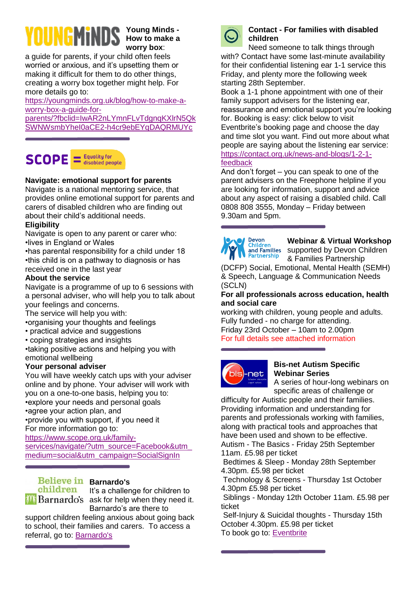# UNGMiND:

**Young Minds - How to make a worry box**:

a guide for parents, if your child often feels worried or anxious, and it's upsetting them or making it difficult for them to do other things, creating a worry box together might help. For more details go to:

[https://youngminds.org.uk/blog/how-to-make-a](https://youngminds.org.uk/blog/how-to-make-a-worry-box-a-guide-for-parents/?fbclid=IwAR2nLYmnFLvTdgnqKXlrN5QkSWNWsmbYheI0aCE2-h4cr9ebEYqDAQRMUYc)[worry-box-a-guide-for-](https://youngminds.org.uk/blog/how-to-make-a-worry-box-a-guide-for-parents/?fbclid=IwAR2nLYmnFLvTdgnqKXlrN5QkSWNWsmbYheI0aCE2-h4cr9ebEYqDAQRMUYc)

[parents/?fbclid=IwAR2nLYmnFLvTdgnqKXlrN5Qk](https://youngminds.org.uk/blog/how-to-make-a-worry-box-a-guide-for-parents/?fbclid=IwAR2nLYmnFLvTdgnqKXlrN5QkSWNWsmbYheI0aCE2-h4cr9ebEYqDAQRMUYc) [SWNWsmbYheI0aCE2-h4cr9ebEYqDAQRMUYc](https://youngminds.org.uk/blog/how-to-make-a-worry-box-a-guide-for-parents/?fbclid=IwAR2nLYmnFLvTdgnqKXlrN5QkSWNWsmbYheI0aCE2-h4cr9ebEYqDAQRMUYc)



# **Navigate: emotional support for parents**

Navigate is a national mentoring service, that provides online emotional support for parents and carers of disabled children who are finding out about their child's additional needs.

# **Eligibility**

Navigate is open to any parent or carer who: •lives in England or Wales

•has parental responsibility for a child under 18 •this child is on a pathway to diagnosis or has received one in the last year

#### **About the service**

Navigate is a programme of up to 6 sessions with a personal adviser, who will help you to talk about your feelings and concerns.

The service will help you with:

•organising your thoughts and feelings

- practical advice and suggestions
- coping strategies and insights

•taking positive actions and helping you with emotional wellbeing

#### **Your personal adviser**

You will have weekly catch ups with your adviser online and by phone. Your adviser will work with you on a one-to-one basis, helping you to: •explore your needs and personal goals •agree your action plan, and •provide you with support, if you need it For more information go to:

[https://www.scope.org.uk/family-](https://www.scope.org.uk/family-services/navigate/?utm_source=Facebook&utm_medium=social&utm_campaign=SocialSignIn)

[services/navigate/?utm\\_source=Facebook&utm\\_](https://www.scope.org.uk/family-services/navigate/?utm_source=Facebook&utm_medium=social&utm_campaign=SocialSignIn) [medium=social&utm\\_campaign=SocialSignIn](https://www.scope.org.uk/family-services/navigate/?utm_source=Facebook&utm_medium=social&utm_campaign=SocialSignIn)

# **Believe in Barnardo's**

children  $\mathbf{a}$  Barnardo's ask for help when they need it.

It's a challenge for children to

Barnardo's are there to

support children feeling anxious about going back to school, their families and carers. To access a referral, go to: [Barnardo's](https://www.barnardos.org.uk/see-hear-respond/carer-referral/carer-referral-form?utm_source=facebook&utm_medium=paid&utm_campaign=SHR_2020&utm_content=carer_referral_form&fbclid=IwAR1ogEYLVz0hQK0zFbuk0bEiIZ8_oxNbduY04E2N8ZZ2fF7yklZ5jYQ_58Y)



#### **Contact - For families with disabled children**

Need someone to talk things through with? Contact have some last-minute availability for their confidential listening ear 1-1 service this Friday, and plenty more the following week starting 28th September.

Book a 1-1 phone appointment with one of their family support advisers for the listening ear, reassurance and emotional support you're looking for. Booking is easy: click below to visit Eventbrite's booking page and choose the day and time slot you want. Find out more about what people are saying about the listening ear service: [https://contact.org.uk/news-and-blogs/1-2-1](https://contact.org.uk/news-and-blogs/1-2-1-feedback) [feedback](https://contact.org.uk/news-and-blogs/1-2-1-feedback)

And don't forget – you can speak to one of the parent advisers on the Freephone helpline if you are looking for information, support and advice about any aspect of raising a disabled child. Call 0808 808 3555, Monday – Friday between 9.30am and 5pm.



**Webinar & Virtual Workshop** supported by Devon Children & Families Partnership

(DCFP) Social, Emotional, Mental Health (SEMH) & Speech, Language & Communication Needs (SCLN)

#### **For all professionals across education, health and social care**

working with children, young people and adults. Fully funded - no charge for attending. Friday 23rd October – 10am to 2.00pm For full details see attached information



#### **Bis-net Autism Specific Webinar Series**

A series of hour-long webinars on specific areas of challenge or

difficulty for Autistic people and their families. Providing information and understanding for parents and professionals working with families, along with practical tools and approaches that have been used and shown to be effective. Autism - The Basics - Friday 25th September

11am. £5.98 per ticket

Bedtimes & Sleep - Monday 28th September 4.30pm. £5.98 per ticket

Technology & Screens - Thursday 1st October 4.30pm £5.98 per ticket

Siblings - Monday 12th October 11am. £5.98 per ticket

Self-Injury & Suicidal thoughts - Thursday 15th October 4.30pm. £5.98 per ticket To book go to: [Eventbrite](https://www.eventbrite.co.uk/o/ceda-6400231187?utm_source=Facebook&utm_medium=social&utm_campaign=SocialSignIn%20)